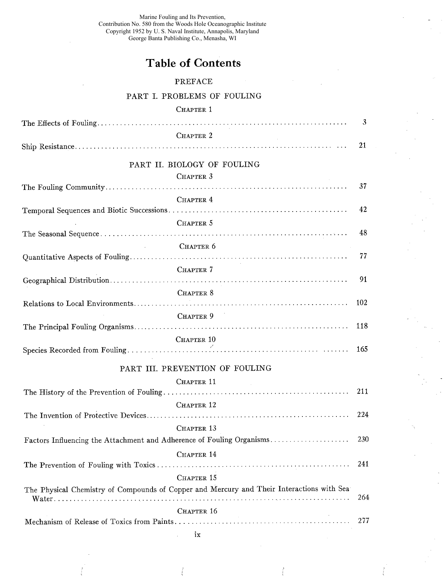Marine Fouling and Its Prevention, Contribution No. 580 from the Woods Hole Oceanographic Institute Copyright 1952 by U. S. Naval Institute, Annapolis, Maryland George Banta Publishing Co., Menasha, WI

## Table of Contents

## PREFACE

## PART i. PROBLEMS OF FOULING

## CHAPTER 1

|                                                                                           | 3   |
|-------------------------------------------------------------------------------------------|-----|
| CHAPTER 2                                                                                 |     |
|                                                                                           | 21  |
| PART II. BIOLOGY OF FOULING                                                               |     |
| CHAPTER 3                                                                                 |     |
|                                                                                           | 37  |
| CHAPTER 4                                                                                 |     |
|                                                                                           | 42  |
| CHAPTER 5                                                                                 |     |
|                                                                                           | 48  |
| CHAPTER 6                                                                                 |     |
|                                                                                           | 77  |
| CHAPTER 7                                                                                 |     |
|                                                                                           | 91  |
| CHAPTER 8                                                                                 |     |
|                                                                                           | 102 |
| CHAPTER 9                                                                                 | 118 |
|                                                                                           |     |
| CHAPTER 10                                                                                | 165 |
|                                                                                           |     |
| PART III. PREVENTION OF FOULING                                                           |     |
| CHAPTER 11<br><b>Contractor</b>                                                           |     |
|                                                                                           | 211 |
| CHAPTER 12                                                                                |     |
|                                                                                           | 224 |
| CHAPTER 13                                                                                |     |
| Factors Influencing the Attachment and Adherence of Fouling Organisms                     | 230 |
| CHAPTER 14                                                                                |     |
|                                                                                           | 241 |
| CHAPTER 15                                                                                |     |
| The Physical Chemistry of Compounds of Copper and Mercury and Their Interactions with Sea |     |
|                                                                                           | 264 |
| CHAPTER 16                                                                                | 277 |
|                                                                                           |     |

lX